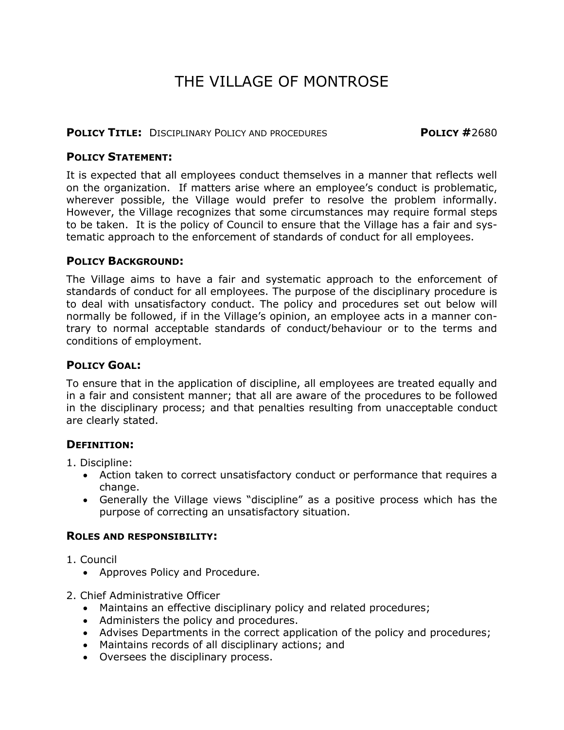# THE VILLAGE OF MONTROSE

## **POLICY TITLE:** DISCIPLINARY POLICY AND PROCEDURES **POLICY #**2680

## **POLICY STATEMENT:**

It is expected that all employees conduct themselves in a manner that reflects well on the organization. If matters arise where an employee's conduct is problematic, wherever possible, the Village would prefer to resolve the problem informally. However, the Village recognizes that some circumstances may require formal steps to be taken. It is the policy of Council to ensure that the Village has a fair and systematic approach to the enforcement of standards of conduct for all employees.

## **POLICY BACKGROUND:**

The Village aims to have a fair and systematic approach to the enforcement of standards of conduct for all employees. The purpose of the disciplinary procedure is to deal with unsatisfactory conduct. The policy and procedures set out below will normally be followed, if in the Village's opinion, an employee acts in a manner contrary to normal acceptable standards of conduct/behaviour or to the terms and conditions of employment.

# **POLICY GOAL:**

To ensure that in the application of discipline, all employees are treated equally and in a fair and consistent manner; that all are aware of the procedures to be followed in the disciplinary process; and that penalties resulting from unacceptable conduct are clearly stated.

# **DEFINITION:**

- 1. Discipline:
	- Action taken to correct unsatisfactory conduct or performance that requires a change.
	- Generally the Village views "discipline" as a positive process which has the purpose of correcting an unsatisfactory situation.

# **ROLES AND RESPONSIBILITY:**

- 1. Council
	- Approves Policy and Procedure.
- 2. Chief Administrative Officer
	- Maintains an effective disciplinary policy and related procedures;
	- Administers the policy and procedures.
	- Advises Departments in the correct application of the policy and procedures;
	- Maintains records of all disciplinary actions; and
	- Oversees the disciplinary process.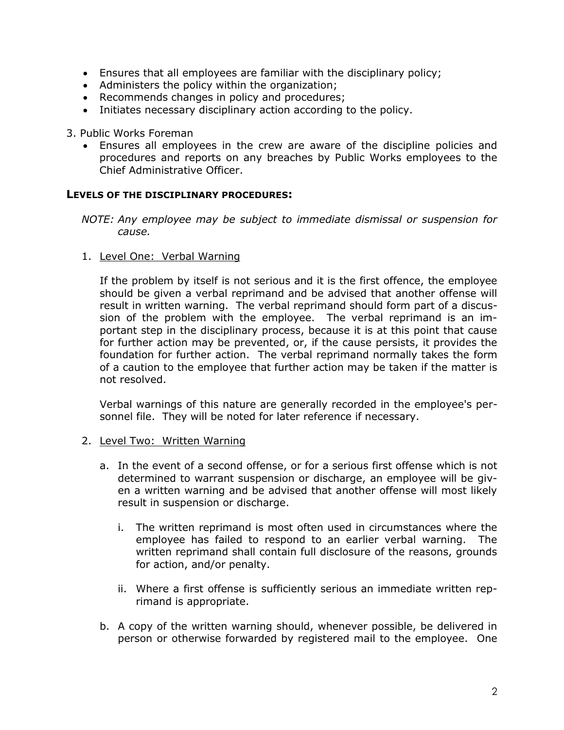- Ensures that all employees are familiar with the disciplinary policy;
- Administers the policy within the organization;
- Recommends changes in policy and procedures;
- Initiates necessary disciplinary action according to the policy.
- 3. Public Works Foreman
	- Ensures all employees in the crew are aware of the discipline policies and procedures and reports on any breaches by Public Works employees to the Chief Administrative Officer.

#### **LEVELS OF THE DISCIPLINARY PROCEDURES:**

*NOTE: Any employee may be subject to immediate dismissal or suspension for cause.*

1. Level One: Verbal Warning

If the problem by itself is not serious and it is the first offence, the employee should be given a verbal reprimand and be advised that another offense will result in written warning. The verbal reprimand should form part of a discussion of the problem with the employee. The verbal reprimand is an important step in the disciplinary process, because it is at this point that cause for further action may be prevented, or, if the cause persists, it provides the foundation for further action. The verbal reprimand normally takes the form of a caution to the employee that further action may be taken if the matter is not resolved.

Verbal warnings of this nature are generally recorded in the employee's personnel file. They will be noted for later reference if necessary.

#### 2. Level Two: Written Warning

- a. In the event of a second offense, or for a serious first offense which is not determined to warrant suspension or discharge, an employee will be given a written warning and be advised that another offense will most likely result in suspension or discharge.
	- i. The written reprimand is most often used in circumstances where the employee has failed to respond to an earlier verbal warning. The written reprimand shall contain full disclosure of the reasons, grounds for action, and/or penalty.
	- ii. Where a first offense is sufficiently serious an immediate written reprimand is appropriate.
- b. A copy of the written warning should, whenever possible, be delivered in person or otherwise forwarded by registered mail to the employee. One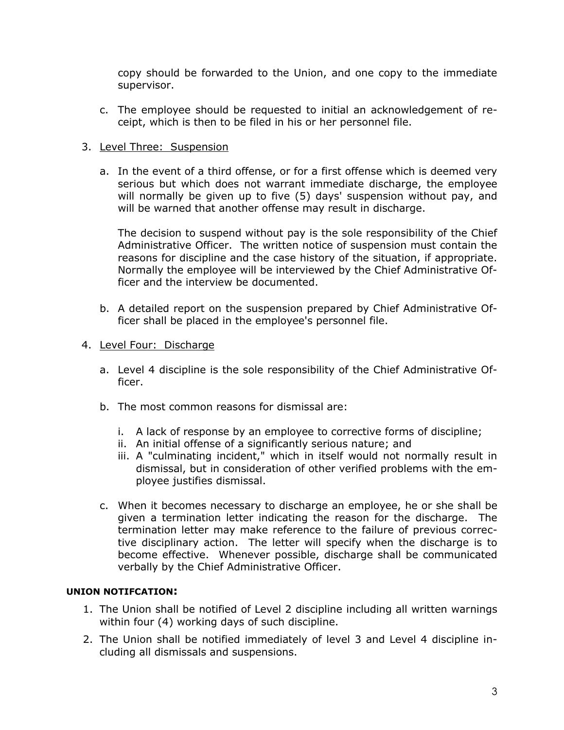copy should be forwarded to the Union, and one copy to the immediate supervisor.

c. The employee should be requested to initial an acknowledgement of receipt, which is then to be filed in his or her personnel file.

## 3. Level Three: Suspension

a. In the event of a third offense, or for a first offense which is deemed very serious but which does not warrant immediate discharge, the employee will normally be given up to five (5) days' suspension without pay, and will be warned that another offense may result in discharge.

The decision to suspend without pay is the sole responsibility of the Chief Administrative Officer. The written notice of suspension must contain the reasons for discipline and the case history of the situation, if appropriate. Normally the employee will be interviewed by the Chief Administrative Officer and the interview be documented.

b. A detailed report on the suspension prepared by Chief Administrative Officer shall be placed in the employee's personnel file.

## 4. Level Four: Discharge

- a. Level 4 discipline is the sole responsibility of the Chief Administrative Officer.
- b. The most common reasons for dismissal are:
	- i. A lack of response by an employee to corrective forms of discipline;
	- ii. An initial offense of a significantly serious nature; and
	- iii. A "culminating incident," which in itself would not normally result in dismissal, but in consideration of other verified problems with the employee justifies dismissal.
- c. When it becomes necessary to discharge an employee, he or she shall be given a termination letter indicating the reason for the discharge. The termination letter may make reference to the failure of previous corrective disciplinary action. The letter will specify when the discharge is to become effective. Whenever possible, discharge shall be communicated verbally by the Chief Administrative Officer.

#### **UNION NOTIFCATION:**

- 1. The Union shall be notified of Level 2 discipline including all written warnings within four (4) working days of such discipline.
- 2. The Union shall be notified immediately of level 3 and Level 4 discipline including all dismissals and suspensions.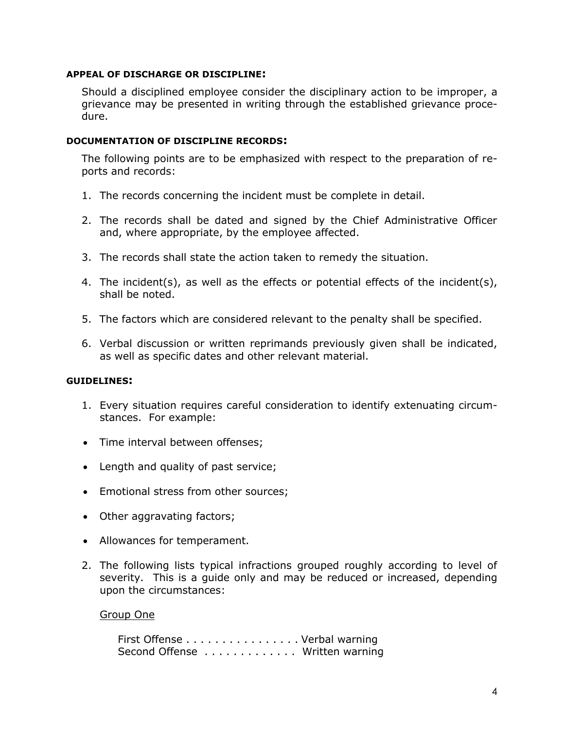#### **APPEAL OF DISCHARGE OR DISCIPLINE:**

Should a disciplined employee consider the disciplinary action to be improper, a grievance may be presented in writing through the established grievance procedure.

#### **DOCUMENTATION OF DISCIPLINE RECORDS:**

The following points are to be emphasized with respect to the preparation of reports and records:

- 1. The records concerning the incident must be complete in detail.
- 2. The records shall be dated and signed by the Chief Administrative Officer and, where appropriate, by the employee affected.
- 3. The records shall state the action taken to remedy the situation.
- 4. The incident(s), as well as the effects or potential effects of the incident(s), shall be noted.
- 5. The factors which are considered relevant to the penalty shall be specified.
- 6. Verbal discussion or written reprimands previously given shall be indicated, as well as specific dates and other relevant material.

## **GUIDELINES:**

- 1. Every situation requires careful consideration to identify extenuating circumstances. For example:
- Time interval between offenses;
- Length and quality of past service;
- Emotional stress from other sources;
- Other aggravating factors;
- Allowances for temperament.
- 2. The following lists typical infractions grouped roughly according to level of severity. This is a guide only and may be reduced or increased, depending upon the circumstances:

#### Group One

First Offense . . . . . . . . . . . . . . . . Verbal warning Second Offense . . . . . . . . . . . . . Written warning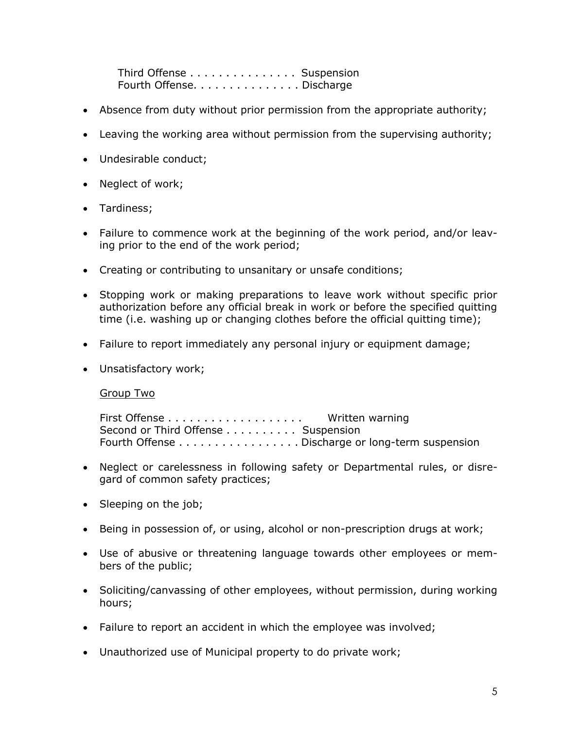Third Offense . . . . . . . . . . . . . . . Suspension Fourth Offense. . . . . . . . . . . . . . . Discharge

- Absence from duty without prior permission from the appropriate authority;
- Leaving the working area without permission from the supervising authority;
- Undesirable conduct;
- Neglect of work;
- Tardiness;
- Failure to commence work at the beginning of the work period, and/or leaving prior to the end of the work period;
- Creating or contributing to unsanitary or unsafe conditions;
- Stopping work or making preparations to leave work without specific prior authorization before any official break in work or before the specified quitting time (i.e. washing up or changing clothes before the official quitting time);
- Failure to report immediately any personal injury or equipment damage;
- Unsatisfactory work;

Group Two

First Offense . . . . . . . . . . . . . . . . . . . Written warning Second or Third Offense . . . . . . . . . Suspension Fourth Offense . . . . . . . . . . . . . . . . . Discharge or long-term suspension

- Neglect or carelessness in following safety or Departmental rules, or disregard of common safety practices;
- Sleeping on the job;
- Being in possession of, or using, alcohol or non-prescription drugs at work;
- Use of abusive or threatening language towards other employees or members of the public;
- Soliciting/canvassing of other employees, without permission, during working hours;
- Failure to report an accident in which the employee was involved;
- Unauthorized use of Municipal property to do private work;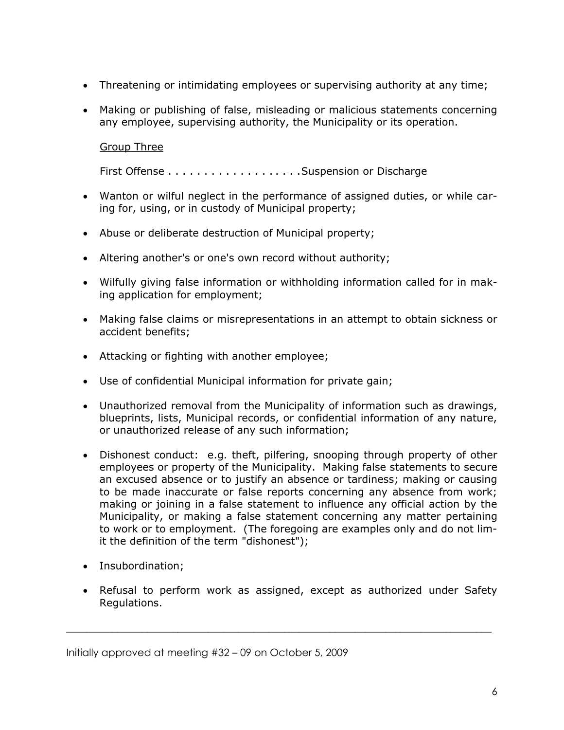- Threatening or intimidating employees or supervising authority at any time;
- Making or publishing of false, misleading or malicious statements concerning any employee, supervising authority, the Municipality or its operation.

Group Three

First Offense . . . . . . . . . . . . . . . . . . .Suspension or Discharge

- Wanton or wilful neglect in the performance of assigned duties, or while caring for, using, or in custody of Municipal property;
- Abuse or deliberate destruction of Municipal property;
- Altering another's or one's own record without authority;
- Wilfully giving false information or withholding information called for in making application for employment;
- Making false claims or misrepresentations in an attempt to obtain sickness or accident benefits;
- Attacking or fighting with another employee;
- Use of confidential Municipal information for private gain;
- Unauthorized removal from the Municipality of information such as drawings, blueprints, lists, Municipal records, or confidential information of any nature, or unauthorized release of any such information;
- Dishonest conduct: e.g. theft, pilfering, snooping through property of other employees or property of the Municipality. Making false statements to secure an excused absence or to justify an absence or tardiness; making or causing to be made inaccurate or false reports concerning any absence from work; making or joining in a false statement to influence any official action by the Municipality, or making a false statement concerning any matter pertaining to work or to employment. (The foregoing are examples only and do not limit the definition of the term "dishonest");
- Insubordination;
- Refusal to perform work as assigned, except as authorized under Safety Regulations.

\_\_\_\_\_\_\_\_\_\_\_\_\_\_\_\_\_\_\_\_\_\_\_\_\_\_\_\_\_\_\_\_\_\_\_\_\_\_\_\_\_\_\_\_\_\_\_\_\_\_\_\_\_\_\_\_\_\_\_\_\_\_\_\_\_\_\_\_\_\_\_\_\_\_\_\_\_\_\_\_\_\_\_\_

Initially approved at meeting #32 – 09 on October 5, 2009